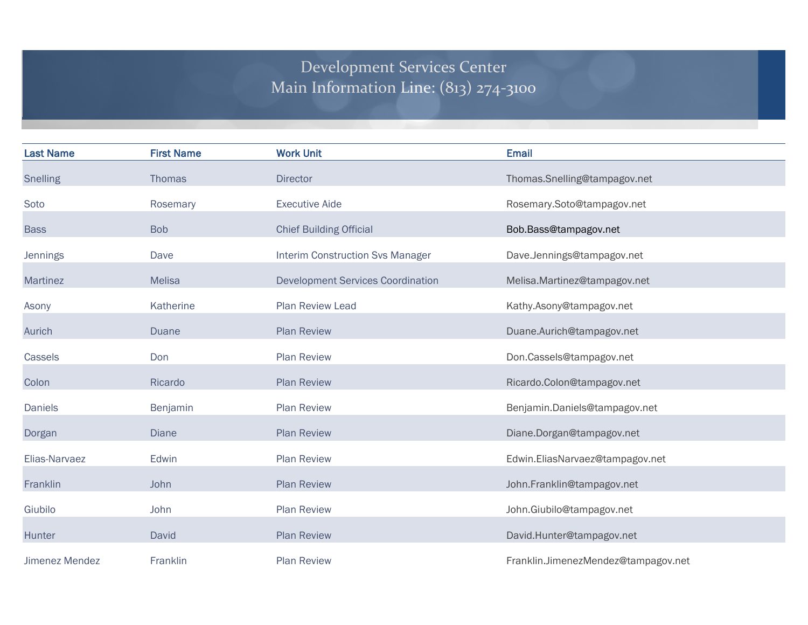## Development Services Center Main Information Line: (813) 274-3100

| <b>Last Name</b>      | <b>First Name</b> | <b>Work Unit</b>                         | <b>Email</b>                        |
|-----------------------|-------------------|------------------------------------------|-------------------------------------|
| <b>Snelling</b>       | <b>Thomas</b>     | <b>Director</b>                          | Thomas.Snelling@tampagov.net        |
| Soto                  | Rosemary          | <b>Executive Aide</b>                    | Rosemary.Soto@tampagov.net          |
| <b>Bass</b>           | <b>Bob</b>        | <b>Chief Building Official</b>           | Bob.Bass@tampagov.net               |
| <b>Jennings</b>       | Dave              | <b>Interim Construction Svs Manager</b>  | Dave.Jennings@tampagov.net          |
| Martinez              | <b>Melisa</b>     | <b>Development Services Coordination</b> | Melisa.Martinez@tampagov.net        |
| Asony                 | Katherine         | Plan Review Lead                         | Kathy.Asony@tampagov.net            |
| Aurich                | <b>Duane</b>      | <b>Plan Review</b>                       | Duane.Aurich@tampagov.net           |
| Cassels               | Don               | <b>Plan Review</b>                       | Don.Cassels@tampagov.net            |
| Colon                 | Ricardo           | <b>Plan Review</b>                       | Ricardo.Colon@tampagov.net          |
| <b>Daniels</b>        | Benjamin          | <b>Plan Review</b>                       | Benjamin.Daniels@tampagov.net       |
| Dorgan                | <b>Diane</b>      | <b>Plan Review</b>                       | Diane.Dorgan@tampagov.net           |
| Elias-Narvaez         | Edwin             | <b>Plan Review</b>                       | Edwin.EliasNarvaez@tampagov.net     |
| Franklin              | John              | <b>Plan Review</b>                       | John.Franklin@tampagov.net          |
| Giubilo               | John              | <b>Plan Review</b>                       | John.Giubilo@tampagov.net           |
| Hunter                | David             | <b>Plan Review</b>                       | David.Hunter@tampagov.net           |
| <b>Jimenez Mendez</b> | Franklin          | <b>Plan Review</b>                       | Franklin.JimenezMendez@tampagov.net |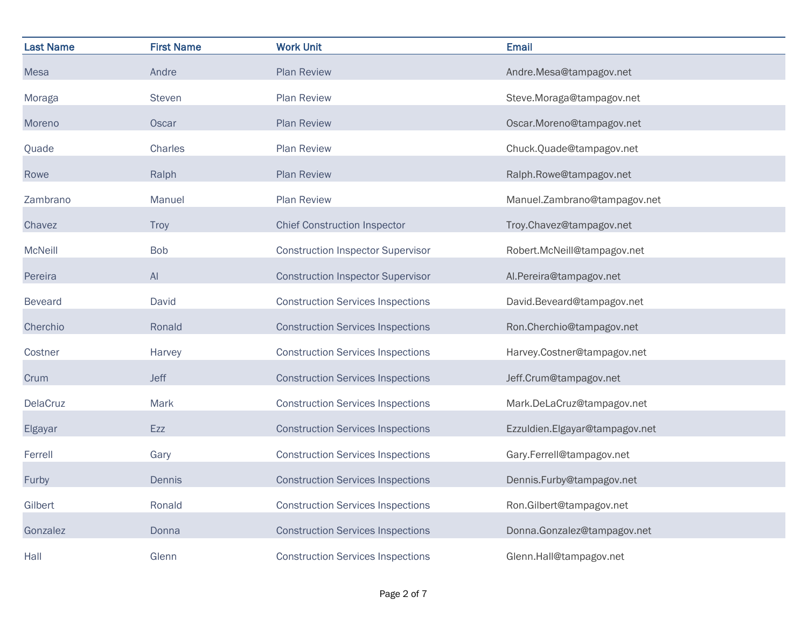| <b>Last Name</b> | <b>First Name</b> | <b>Work Unit</b>                         | <b>Email</b>                   |
|------------------|-------------------|------------------------------------------|--------------------------------|
| <b>Mesa</b>      | Andre             | <b>Plan Review</b>                       | Andre.Mesa@tampagov.net        |
| Moraga           | Steven            | <b>Plan Review</b>                       | Steve.Moraga@tampagov.net      |
| Moreno           | Oscar             | <b>Plan Review</b>                       | Oscar.Moreno@tampagov.net      |
| Quade            | Charles           | Plan Review                              | Chuck.Quade@tampagov.net       |
| Rowe             | Ralph             | <b>Plan Review</b>                       | Ralph.Rowe@tampagov.net        |
| Zambrano         | Manuel            | <b>Plan Review</b>                       | Manuel.Zambrano@tampagov.net   |
| Chavez           | <b>Troy</b>       | <b>Chief Construction Inspector</b>      | Troy.Chavez@tampagov.net       |
| <b>McNeill</b>   | <b>Bob</b>        | <b>Construction Inspector Supervisor</b> | Robert.McNeill@tampagov.net    |
| Pereira          | AI                | <b>Construction Inspector Supervisor</b> | Al.Pereira@tampagov.net        |
| <b>Beveard</b>   | David             | <b>Construction Services Inspections</b> | David.Beveard@tampagov.net     |
| Cherchio         | Ronald            | <b>Construction Services Inspections</b> | Ron.Cherchio@tampagov.net      |
| Costner          | Harvey            | <b>Construction Services Inspections</b> | Harvey.Costner@tampagov.net    |
| Crum             | <b>Jeff</b>       | <b>Construction Services Inspections</b> | Jeff.Crum@tampagov.net         |
| <b>DelaCruz</b>  | Mark              | <b>Construction Services Inspections</b> | Mark.DeLaCruz@tampagov.net     |
| Elgayar          | Ezz               | <b>Construction Services Inspections</b> | Ezzuldien.Elgayar@tampagov.net |
| Ferrell          | Gary              | <b>Construction Services Inspections</b> | Gary.Ferrell@tampagov.net      |
| Furby            | Dennis            | <b>Construction Services Inspections</b> | Dennis.Furby@tampagov.net      |
| Gilbert          | Ronald            | <b>Construction Services Inspections</b> | Ron.Gilbert@tampagov.net       |
| Gonzalez         | Donna             | <b>Construction Services Inspections</b> | Donna.Gonzalez@tampagov.net    |
| Hall             | Glenn             | <b>Construction Services Inspections</b> | Glenn.Hall@tampagov.net        |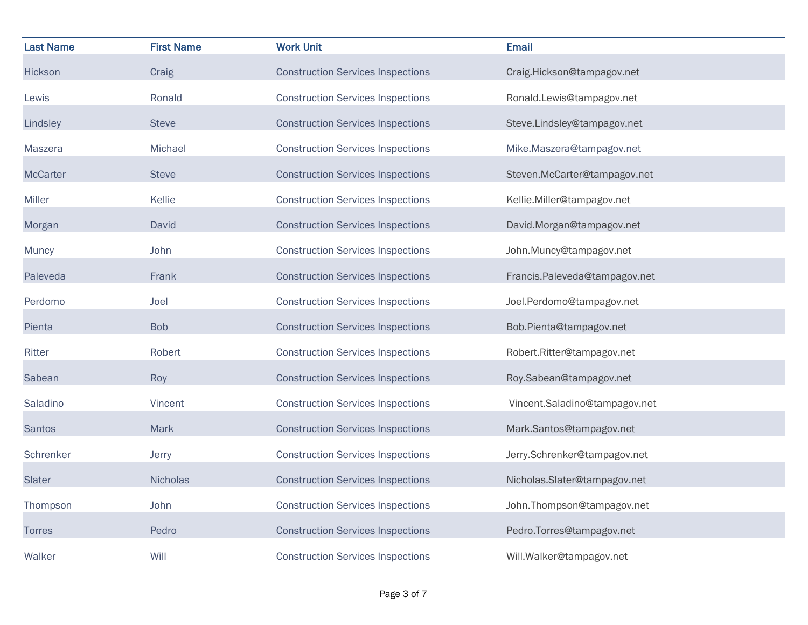| <b>Last Name</b> | <b>First Name</b> | <b>Work Unit</b>                         | <b>Email</b>                  |
|------------------|-------------------|------------------------------------------|-------------------------------|
| Hickson          | Craig             | <b>Construction Services Inspections</b> | Craig.Hickson@tampagov.net    |
| Lewis            | Ronald            | <b>Construction Services Inspections</b> | Ronald.Lewis@tampagov.net     |
| Lindsley         | <b>Steve</b>      | <b>Construction Services Inspections</b> | Steve.Lindsley@tampagov.net   |
| Maszera          | Michael           | <b>Construction Services Inspections</b> | Mike.Maszera@tampagov.net     |
| <b>McCarter</b>  | <b>Steve</b>      | <b>Construction Services Inspections</b> | Steven.McCarter@tampagov.net  |
| Miller           | Kellie            | <b>Construction Services Inspections</b> | Kellie.Miller@tampagov.net    |
| Morgan           | David             | <b>Construction Services Inspections</b> | David.Morgan@tampagov.net     |
| Muncy            | John              | <b>Construction Services Inspections</b> | John.Muncy@tampagov.net       |
| Paleveda         | Frank             | <b>Construction Services Inspections</b> | Francis.Paleveda@tampagov.net |
| Perdomo          | Joel              | <b>Construction Services Inspections</b> | Joel.Perdomo@tampagov.net     |
| Pienta           | <b>Bob</b>        | <b>Construction Services Inspections</b> | Bob.Pienta@tampagov.net       |
| Ritter           | Robert            | <b>Construction Services Inspections</b> | Robert.Ritter@tampagov.net    |
| Sabean           | Roy               | <b>Construction Services Inspections</b> | Roy.Sabean@tampagov.net       |
| Saladino         | Vincent           | <b>Construction Services Inspections</b> | Vincent.Saladino@tampagov.net |
| <b>Santos</b>    | Mark              | <b>Construction Services Inspections</b> | Mark.Santos@tampagov.net      |
| Schrenker        | Jerry             | <b>Construction Services Inspections</b> | Jerry.Schrenker@tampagov.net  |
| Slater           | <b>Nicholas</b>   | <b>Construction Services Inspections</b> | Nicholas.Slater@tampagov.net  |
| Thompson         | John              | <b>Construction Services Inspections</b> | John.Thompson@tampagov.net    |
| <b>Torres</b>    | Pedro             | <b>Construction Services Inspections</b> | Pedro.Torres@tampagov.net     |
| Walker           | Will              | <b>Construction Services Inspections</b> | Will.Walker@tampagov.net      |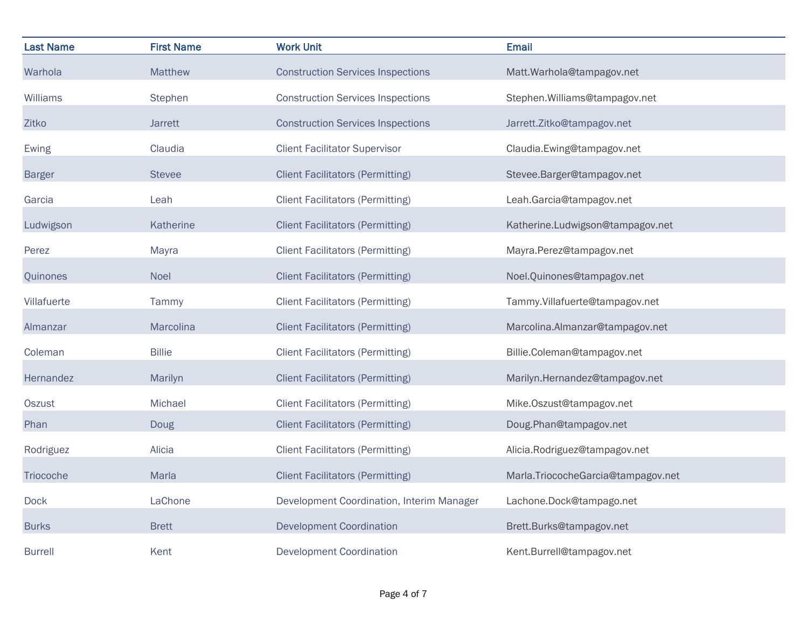| <b>Last Name</b> | <b>First Name</b> | <b>Work Unit</b>                          | <b>Email</b>                       |
|------------------|-------------------|-------------------------------------------|------------------------------------|
| Warhola          | <b>Matthew</b>    | <b>Construction Services Inspections</b>  | Matt.Warhola@tampagov.net          |
| <b>Williams</b>  | Stephen           | <b>Construction Services Inspections</b>  | Stephen. Williams@tampagov.net     |
| Zitko            | Jarrett           | <b>Construction Services Inspections</b>  | Jarrett.Zitko@tampagov.net         |
| Ewing            | Claudia           | <b>Client Facilitator Supervisor</b>      | Claudia.Ewing@tampagov.net         |
| <b>Barger</b>    | <b>Stevee</b>     | <b>Client Facilitators (Permitting)</b>   | Stevee.Barger@tampagov.net         |
| Garcia           | Leah              | <b>Client Facilitators (Permitting)</b>   | Leah.Garcia@tampagov.net           |
| Ludwigson        | Katherine         | <b>Client Facilitators (Permitting)</b>   | Katherine.Ludwigson@tampagov.net   |
| Perez            | Mayra             | <b>Client Facilitators (Permitting)</b>   | Mayra.Perez@tampagov.net           |
| Quinones         | Noel              | <b>Client Facilitators (Permitting)</b>   | Noel.Quinones@tampagov.net         |
| Villafuerte      | Tammy             | <b>Client Facilitators (Permitting)</b>   | Tammy.Villafuerte@tampagov.net     |
| Almanzar         | Marcolina         | <b>Client Facilitators (Permitting)</b>   | Marcolina.Almanzar@tampagov.net    |
| Coleman          | <b>Billie</b>     | <b>Client Facilitators (Permitting)</b>   | Billie.Coleman@tampagov.net        |
| Hernandez        | Marilyn           | <b>Client Facilitators (Permitting)</b>   | Marilyn.Hernandez@tampagov.net     |
| <b>Oszust</b>    | Michael           | <b>Client Facilitators (Permitting)</b>   | Mike.Oszust@tampagov.net           |
| Phan             | Doug              | <b>Client Facilitators (Permitting)</b>   | Doug.Phan@tampagov.net             |
| Rodriguez        | Alicia            | <b>Client Facilitators (Permitting)</b>   | Alicia.Rodriguez@tampagov.net      |
| Triocoche        | Marla             | <b>Client Facilitators (Permitting)</b>   | Marla.TriococheGarcia@tampagov.net |
| Dock             | LaChone           | Development Coordination, Interim Manager | Lachone.Dock@tampago.net           |
| <b>Burks</b>     | <b>Brett</b>      | <b>Development Coordination</b>           | Brett.Burks@tampagov.net           |
| Burrell          | Kent              | <b>Development Coordination</b>           | Kent.Burrell@tampagov.net          |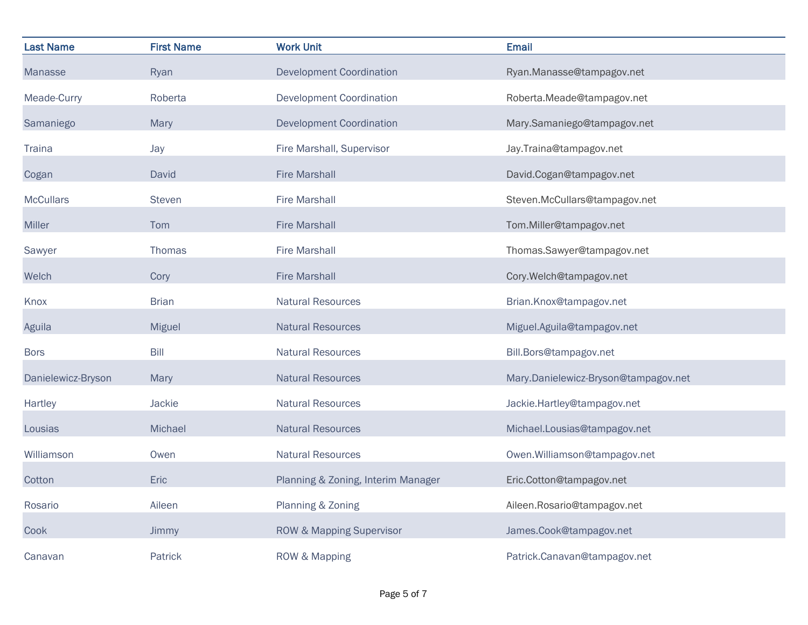| <b>Last Name</b>   | <b>First Name</b> | <b>Work Unit</b>                   | <b>Email</b>                         |
|--------------------|-------------------|------------------------------------|--------------------------------------|
| <b>Manasse</b>     | Ryan              | <b>Development Coordination</b>    | Ryan.Manasse@tampagov.net            |
| Meade-Curry        | Roberta           | <b>Development Coordination</b>    | Roberta.Meade@tampagov.net           |
| Samaniego          | Mary              | <b>Development Coordination</b>    | Mary.Samaniego@tampagov.net          |
| <b>Traina</b>      | Jay               | Fire Marshall, Supervisor          | Jay.Traina@tampagov.net              |
| Cogan              | David             | <b>Fire Marshall</b>               | David.Cogan@tampagov.net             |
| <b>McCullars</b>   | <b>Steven</b>     | <b>Fire Marshall</b>               | Steven.McCullars@tampagov.net        |
| Miller             | Tom               | <b>Fire Marshall</b>               | Tom.Miller@tampagov.net              |
| Sawyer             | Thomas            | <b>Fire Marshall</b>               | Thomas.Sawyer@tampagov.net           |
| Welch              | Cory              | <b>Fire Marshall</b>               | Cory.Welch@tampagov.net              |
| Knox               | <b>Brian</b>      | <b>Natural Resources</b>           | Brian.Knox@tampagov.net              |
| Aguila             | <b>Miguel</b>     | <b>Natural Resources</b>           | Miguel.Aguila@tampagov.net           |
| <b>Bors</b>        | Bill              | <b>Natural Resources</b>           | Bill.Bors@tampagov.net               |
| Danielewicz-Bryson | Mary              | <b>Natural Resources</b>           | Mary.Danielewicz-Bryson@tampagov.net |
| Hartley            | Jackie            | <b>Natural Resources</b>           | Jackie.Hartley@tampagov.net          |
| Lousias            | Michael           | <b>Natural Resources</b>           | Michael.Lousias@tampagov.net         |
| Williamson         | Owen              | <b>Natural Resources</b>           | Owen.Williamson@tampagov.net         |
| Cotton             | Eric              | Planning & Zoning, Interim Manager | Eric.Cotton@tampagov.net             |
| Rosario            | Aileen            | Planning & Zoning                  | Aileen.Rosario@tampagov.net          |
| Cook               | Jimmy             | ROW & Mapping Supervisor           | James.Cook@tampagov.net              |
| Canavan            | Patrick           | ROW & Mapping                      | Patrick.Canavan@tampagov.net         |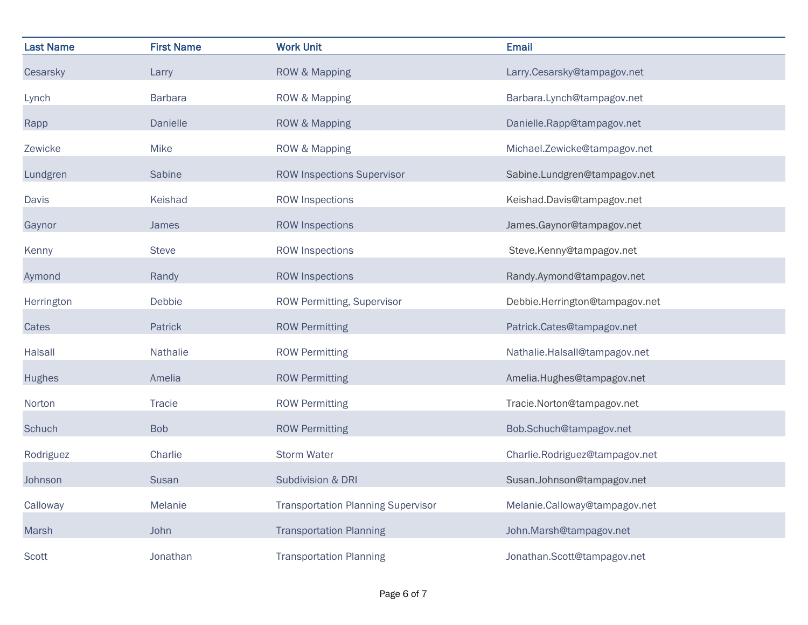| <b>Last Name</b> | <b>First Name</b> | <b>Work Unit</b>                          | <b>Email</b>                   |
|------------------|-------------------|-------------------------------------------|--------------------------------|
| Cesarsky         | Larry             | ROW & Mapping                             | Larry.Cesarsky@tampagov.net    |
| Lynch            | <b>Barbara</b>    | ROW & Mapping                             | Barbara.Lynch@tampagov.net     |
| Rapp             | Danielle          | ROW & Mapping                             | Danielle.Rapp@tampagov.net     |
| Zewicke          | Mike              | ROW & Mapping                             | Michael.Zewicke@tampagov.net   |
| Lundgren         | Sabine            | <b>ROW Inspections Supervisor</b>         | Sabine.Lundgren@tampagov.net   |
| <b>Davis</b>     | Keishad           | <b>ROW Inspections</b>                    | Keishad.Davis@tampagov.net     |
| Gaynor           | James             | <b>ROW Inspections</b>                    | James.Gaynor@tampagov.net      |
| Kenny            | <b>Steve</b>      | <b>ROW Inspections</b>                    | Steve.Kenny@tampagov.net       |
| Aymond           | Randy             | <b>ROW Inspections</b>                    | Randy.Aymond@tampagov.net      |
| Herrington       | Debbie            | ROW Permitting, Supervisor                | Debbie.Herrington@tampagov.net |
| Cates            | Patrick           | <b>ROW Permitting</b>                     | Patrick.Cates@tampagov.net     |
| Halsall          | Nathalie          | <b>ROW Permitting</b>                     | Nathalie.Halsall@tampagov.net  |
| <b>Hughes</b>    | Amelia            | <b>ROW Permitting</b>                     | Amelia.Hughes@tampagov.net     |
| Norton           | <b>Tracie</b>     | <b>ROW Permitting</b>                     | Tracie.Norton@tampagov.net     |
| Schuch           | <b>Bob</b>        | <b>ROW Permitting</b>                     | Bob.Schuch@tampagov.net        |
| Rodriguez        | Charlie           | <b>Storm Water</b>                        | Charlie.Rodriguez@tampagov.net |
| Johnson          | Susan             | Subdivision & DRI                         | Susan.Johnson@tampagov.net     |
| Calloway         | Melanie           | <b>Transportation Planning Supervisor</b> | Melanie.Calloway@tampagov.net  |
| Marsh            | John              | <b>Transportation Planning</b>            | John.Marsh@tampagov.net        |
| <b>Scott</b>     | Jonathan          | <b>Transportation Planning</b>            | Jonathan.Scott@tampagov.net    |